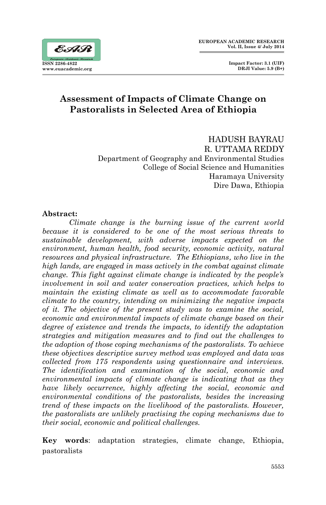

# **Assessment of Impacts of Climate Change on Pastoralists in Selected Area of Ethiopia**

HADUSH BAYRAU R. UTTAMA REDDY Department of Geography and Environmental Studies College of Social Science and Humanities Haramaya University Dire Dawa, Ethiopia

#### **Abstract:**

*Climate change is the burning issue of the current world because it is considered to be one of the most serious threats to sustainable development, with adverse impacts expected on the environment, human health, food security, economic activity, natural resources and physical infrastructure. The Ethiopians, who live in the high lands, are engaged in mass actively in the combat against climate change. This fight against climate change is indicated by the people's involvement in soil and water conservation practices, which helps to maintain the existing climate as well as to accommodate favorable climate to the country, intending on minimizing the negative impacts of it. The objective of the present study was to examine the social, economic and environmental impacts of climate change based on their degree of existence and trends the impacts, to identify the adaptation strategies and mitigation measures and to find out the challenges to the adoption of those coping mechanisms of the pastoralists. To achieve these objectives descriptive survey method was employed and data was collected from 175 respondents using questionnaire and interviews. The identification and examination of the social, economic and environmental impacts of climate change is indicating that as they have likely occurrence, highly affecting the social, economic and environmental conditions of the pastoralists, besides the increasing trend of these impacts on the livelihood of the pastoralists. However, the pastoralists are unlikely practising the coping mechanisms due to their social, economic and political challenges.* 

**Key words**: adaptation strategies, climate change, Ethiopia, pastoralists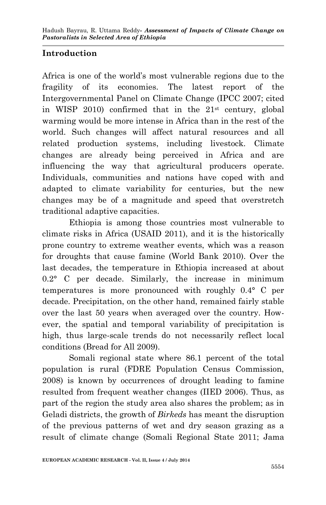# **Introduction**

Africa is one of the world's most vulnerable regions due to the fragility of its economies. The latest report of the Intergovernmental Panel on Climate Change (IPCC 2007; cited in WISP 2010) confirmed that in the  $21<sup>st</sup>$  century, global warming would be more intense in Africa than in the rest of the world. Such changes will affect natural resources and all related production systems, including livestock. Climate changes are already being perceived in Africa and are influencing the way that agricultural producers operate. Individuals, communities and nations have coped with and adapted to climate variability for centuries, but the new changes may be of a magnitude and speed that overstretch traditional adaptive capacities.

Ethiopia is among those countries most vulnerable to climate risks in Africa (USAID 2011), and it is the historically prone country to extreme weather events, which was a reason for droughts that cause famine (World Bank 2010). Over the last decades, the temperature in Ethiopia increased at about 0.2° C per decade. Similarly, the increase in minimum temperatures is more pronounced with roughly 0.4° C per decade. Precipitation, on the other hand, remained fairly stable over the last 50 years when averaged over the country. However, the spatial and temporal variability of precipitation is high, thus large-scale trends do not necessarily reflect local conditions (Bread for All 2009).

Somali regional state where 86.1 percent of the total population is rural (FDRE Population Census Commission, 2008) is known by occurrences of drought leading to famine resulted from frequent weather changes (IIED 2006). Thus, as part of the region the study area also shares the problem; as in Geladi districts, the growth of *Birkeds* has meant the disruption of the previous patterns of wet and dry season grazing as a result of climate change (Somali Regional State 2011; Jama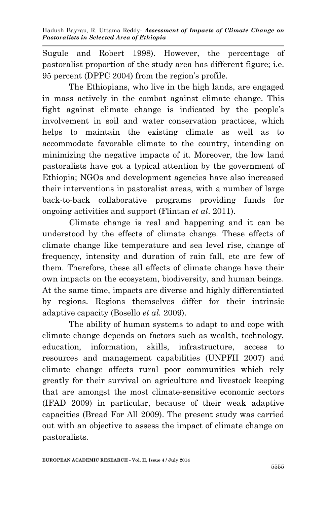Sugule and Robert 1998). However, the percentage of pastoralist proportion of the study area has different figure; i.e. 95 percent (DPPC 2004) from the region's profile.

The Ethiopians, who live in the high lands, are engaged in mass actively in the combat against climate change. This fight against climate change is indicated by the people's involvement in soil and water conservation practices, which helps to maintain the existing climate as well as to accommodate favorable climate to the country, intending on minimizing the negative impacts of it. Moreover, the low land pastoralists have got a typical attention by the government of Ethiopia; NGOs and development agencies have also increased their interventions in pastoralist areas, with a number of large back-to-back collaborative programs providing funds for ongoing activities and support (Flintan *et al*. 2011).

Climate change is real and happening and it can be understood by the effects of climate change. These effects of climate change like temperature and sea level rise, change of frequency, intensity and duration of rain fall, etc are few of them. Therefore, these all effects of climate change have their own impacts on the ecosystem, biodiversity, and human beings. At the same time, impacts are diverse and highly differentiated by regions. Regions themselves differ for their intrinsic adaptive capacity (Bosello *et al.* 2009).

The ability of human systems to adapt to and cope with climate change depends on factors such as wealth, technology, education, information, skills, infrastructure, access to resources and management capabilities (UNPFII 2007) and climate change affects rural poor communities which rely greatly for their survival on agriculture and livestock keeping that are amongst the most climate-sensitive economic sectors (IFAD 2009) in particular, because of their weak adaptive capacities (Bread For All 2009). The present study was carried out with an objective to assess the impact of climate change on pastoralists.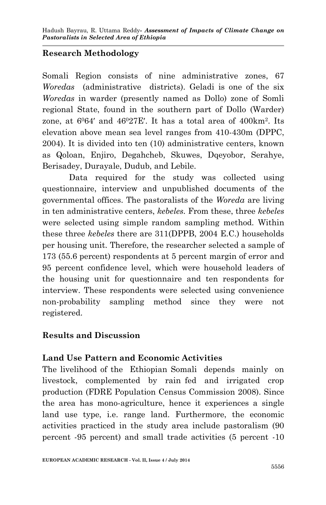# **Research Methodology**

Somali Region consists of nine administrative zones, 67 *Woredas* (administrative districts). Geladi is one of the six *Woredas* in warder (presently named as Dollo) zone of Somli regional State, found in the southern part of Dollo (Warder) zone, at  $6064'$  and  $46027E'$ . It has a total area of  $400km^2$ . Its elevation above mean sea level ranges from 410-430m (DPPC, 2004). It is divided into ten (10) administrative centers, known as Qoloan, Enjiro, Degahcheb, Skuwes, Dqeyobor, Serahye, Berisadey, Durayale, Dudub, and Lebile.

Data required for the study was collected using questionnaire, interview and unpublished documents of the governmental offices. The pastoralists of the *Woreda* are living in ten administrative centers, *kebeles.* From these, three *kebeles* were selected using simple random sampling method. Within these three *kebeles* there are 311(DPPB, 2004 E.C.) households per housing unit. Therefore, the researcher selected a sample of 173 (55.6 percent) respondents at 5 percent margin of error and 95 percent confidence level, which were household leaders of the housing unit for questionnaire and ten respondents for interview. These respondents were selected using convenience non-probability sampling method since they were not registered.

## **Results and Discussion**

## **Land Use Pattern and Economic Activities**

The livelihood of the Ethiopian Somali depends mainly on livestock, complemented by rain fed and irrigated crop production (FDRE Population Census Commission 2008). Since the area has mono-agriculture, hence it experiences a single land use type, i.e. range land. Furthermore, the economic activities practiced in the study area include pastoralism (90 percent -95 percent) and small trade activities (5 percent -10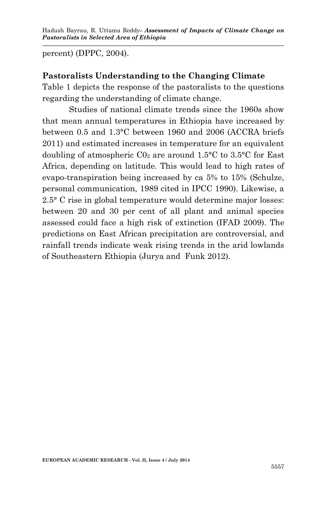percent) (DPPC, 2004).

#### **Pastoralists Understanding to the Changing Climate**

Table 1 depicts the response of the pastoralists to the questions regarding the understanding of climate change.

Studies of national climate trends since the 1960s show that mean annual temperatures in Ethiopia have increased by between 0.5 and 1.3°C between 1960 and 2006 (ACCRA briefs 2011) and estimated increases in temperature for an equivalent doubling of atmospheric  $\text{C0}_2$  are around 1.5°C to 3.5°C for East Africa, depending on latitude. This would lead to high rates of evapo-transpiration being increased by ca 5% to 15% (Schulze, personal communication, 1989 cited in IPCC 1990). Likewise, a 2.5° C rise in global temperature would determine major losses: between 20 and 30 per cent of all plant and animal species assessed could face a high risk of extinction (IFAD 2009). The predictions on East African precipitation are controversial, and rainfall trends indicate weak rising trends in the arid lowlands of Southeastern Ethiopia (Jurya and Funk 2012).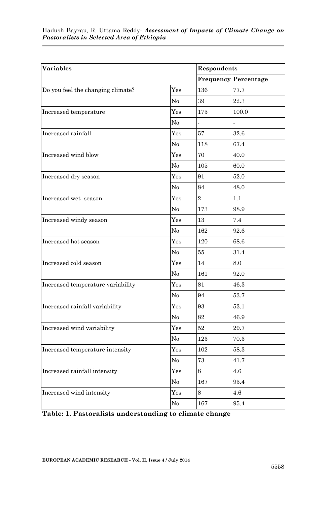| <b>Variables</b>                  |                   | Respondents    |                             |
|-----------------------------------|-------------------|----------------|-----------------------------|
|                                   |                   |                | <b>Frequency Percentage</b> |
| Do you feel the changing climate? | Yes               | 136            | 77.7                        |
|                                   | No                | 39             | 22.3                        |
| Increased temperature             | Yes               | 175            | 100.0                       |
|                                   | No                |                |                             |
| Increased rainfall                | Yes               | 57             | 32.6                        |
|                                   | N <sub>o</sub>    | 118            | 67.4                        |
| Increased wind blow               | Yes               | 70             | 40.0                        |
|                                   | No                | 105            | 60.0                        |
| Increased dry season              | Yes               | 91             | 52.0                        |
|                                   | No                | 84             | 48.0                        |
| Increased wet season              | Yes               | $\overline{2}$ | 1.1                         |
|                                   | No                | 173            | 98.9                        |
| Increased windy season            | $\gamma_{\rm es}$ | 13             | 7.4                         |
|                                   | No                | 162            | 92.6                        |
| Increased hot season              | Yes               | 120            | 68.6                        |
|                                   | No                | 55             | 31.4                        |
| Increased cold season             | Yes               | 14             | 8.0                         |
|                                   | No                | 161            | 92.0                        |
| Increased temperature variability | $\gamma_{\rm es}$ | 81             | 46.3                        |
|                                   | No                | 94             | 53.7                        |
| Increased rainfall variability    | Yes               | 93             | 53.1                        |
|                                   | No                | 82             | 46.9                        |
| Increased wind variability        | $\gamma_{\rm es}$ | 52             | 29.7                        |
|                                   | No                | 123            | 70.3                        |
| Increased temperature intensity   | Yes               | 102            | 58.3                        |
|                                   | No                | 73             | 41.7                        |
| Increased rainfall intensity      | Yes               | 8              | 4.6                         |
|                                   | No                | 167            | 95.4                        |
| Increased wind intensity          | $_{\rm Yes}$      | 8              | 4.6                         |
|                                   | No                | 167            | 95.4                        |

**Table: 1. Pastoralists understanding to climate change**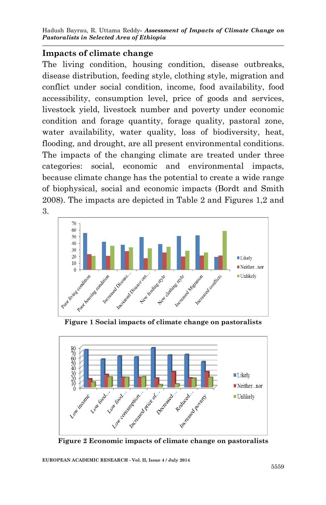#### **Impacts of climate change**

The living condition, housing condition, disease outbreaks, disease distribution, feeding style, clothing style, migration and conflict under social condition, income, food availability, food accessibility, consumption level, price of goods and services, livestock yield, livestock number and poverty under economic condition and forage quantity, forage quality, pastoral zone, water availability, water quality, loss of biodiversity, heat, flooding, and drought, are all present environmental conditions. The impacts of the changing climate are treated under three categories: social, economic and environmental impacts, because climate change has the potential to create a wide range of biophysical, social and economic impacts (Bordt and Smith 2008). The impacts are depicted in Table 2 and Figures 1,2 and 3.



**Figure 1 Social impacts of climate change on pastoralists**



**Figure 2 Economic impacts of climate change on pastoralists**

**EUROPEAN ACADEMIC RESEARCH - Vol. II, Issue 4 / July 2014**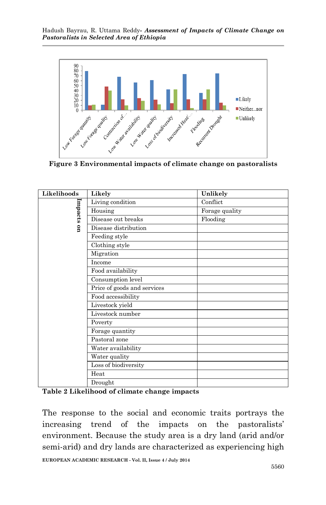

**Figure 3 Environmental impacts of climate change on pastoralists**

| Likelihoods | Likely                      | Unlikely       |
|-------------|-----------------------------|----------------|
|             | Living condition            | Conflict       |
|             | Housing                     | Forage quality |
| Impacts     | Disease out breaks          | Flooding       |
| g           | Disease distribution        |                |
|             | Feeding style               |                |
|             | Clothing style              |                |
|             | Migration                   |                |
|             | Income                      |                |
|             | Food availability           |                |
|             | Consumption level           |                |
|             | Price of goods and services |                |
|             | Food accessibility          |                |
|             | Livestock yield             |                |
|             | Livestock number            |                |
|             | Poverty                     |                |
|             | Forage quantity             |                |
|             | Pastoral zone               |                |
|             | Water availability          |                |
|             | Water quality               |                |
|             | Loss of biodiversity        |                |
|             | Heat                        |                |
|             | Drought                     |                |

**Table 2 Likelihood of climate change impacts**

The response to the social and economic traits portrays the increasing trend of the impacts on the pastoralists' environment. Because the study area is a dry land (arid and/or semi-arid) and dry lands are characterized as experiencing high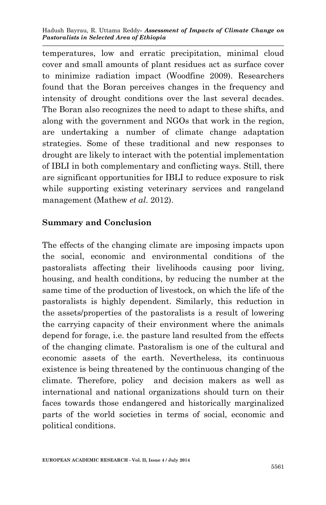temperatures, low and erratic precipitation, minimal cloud cover and small amounts of plant residues act as surface cover to minimize radiation impact (Woodfine 2009). Researchers found that the Boran perceives changes in the frequency and intensity of drought conditions over the last several decades. The Boran also recognizes the need to adapt to these shifts, and along with the government and NGOs that work in the region, are undertaking a number of climate change adaptation strategies. Some of these traditional and new responses to drought are likely to interact with the potential implementation of IBLI in both complementary and conflicting ways. Still, there are significant opportunities for IBLI to reduce exposure to risk while supporting existing veterinary services and rangeland management (Mathew *et al*. 2012).

#### **Summary and Conclusion**

The effects of the changing climate are imposing impacts upon the social, economic and environmental conditions of the pastoralists affecting their livelihoods causing poor living, housing, and health conditions, by reducing the number at the same time of the production of livestock, on which the life of the pastoralists is highly dependent. Similarly, this reduction in the assets/properties of the pastoralists is a result of lowering the carrying capacity of their environment where the animals depend for forage, i.e. the pasture land resulted from the effects of the changing climate. Pastoralism is one of the cultural and economic assets of the earth. Nevertheless, its continuous existence is being threatened by the continuous changing of the climate. Therefore, policy and decision makers as well as international and national organizations should turn on their faces towards those endangered and historically marginalized parts of the world societies in terms of social, economic and political conditions.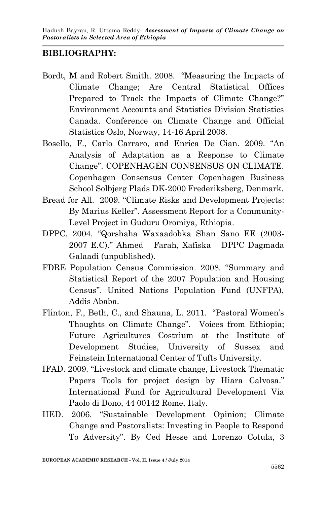#### **BIBLIOGRAPHY:**

- Bordt, M and Robert Smith. 2008. "Measuring the Impacts of Climate Change; Are Central Statistical Offices Prepared to Track the Impacts of Climate Change?" Environment Accounts and Statistics Division Statistics Canada. Conference on Climate Change and Official Statistics Oslo, Norway, 14-16 April 2008.
- Bosello, F., Carlo Carraro, and Enrica De Cian. 2009. "An Analysis of Adaptation as a Response to Climate Change". COPENHAGEN CONSENSUS ON CLIMATE. Copenhagen Consensus Center Copenhagen Business School Solbjerg Plads DK-2000 Frederiksberg, Denmark.
- Bread for All. 2009. "Climate Risks and Development Projects: By Marius Keller". Assessment Report for a Community-Level Project in Guduru Oromiya, Ethiopia.
- DPPC. 2004. "Qorshaha Waxaadobka Shan Sano EE (2003- 2007 E.C)." Ahmed Farah, Xafiska DPPC Dagmada Galaadi (unpublished).
- FDRE Population Census Commission. 2008. "Summary and Statistical Report of the 2007 Population and Housing Census". United Nations Population Fund (UNFPA), Addis Ababa.
- Flinton, F., Beth, C., and Shauna, L. 2011. "Pastoral Women's Thoughts on Climate Change". Voices from Ethiopia; Future Agricultures Costrium at the Institute of Development Studies, University of Sussex and Feinstein International Center of Tufts University.
- IFAD. 2009. "Livestock and climate change, Livestock Thematic Papers Tools for project design by Hiara Calvosa." International Fund for Agricultural Development Via Paolo di Dono, 44 00142 Rome, Italy.
- IIED. 2006. "Sustainable Development Opinion; Climate Change and Pastoralists: Investing in People to Respond To Adversity". By Ced Hesse and Lorenzo Cotula, 3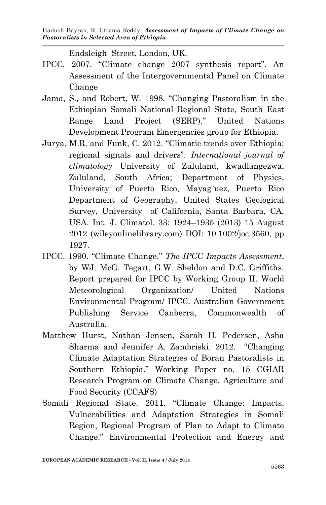Endsleigh Street, London, UK.

- IPCC, 2007. "Climate change 2007 synthesis report". An Assessment of the Intergovernmental Panel on Climate Change
- Jama, S., and Robert, W. 1998. "Changing Pastoralism in the Ethiopian Somali National Regional State, South East Range Land Project (SERP)." United Nations Development Program Emergencies group for Ethiopia.
- Jurya, M.R. and Funk, C. 2012. "Climatic trends over Ethiopia: regional signals and drivers". *International journal of climatology* University of Zululand, kwadlangezwa, Zululand, South Africa; Department of Physics, University of Puerto Rico, Mayag¨uez, Puerto Rico Department of Geography, United States Geological Survey, University of California, Santa Barbara, CA, USA. Int. J. Climatol. 33: 1924–1935 (2013) 15 August 2012 (wileyonlinelibrary.com) DOI: 10.1002/joc.3560, pp 1927.
- IPCC. 1990. "Climate Change." *The IPCC Impacts Assessment*, by WJ. McG. Tegart, G.W. Sheldon and D.C. Griffiths. Report prepared for IPCC by Working Group II. World Meteorological Organization/ United Nations Environmental Program/ IPCC. Australian Government Publishing Service Canberra, Commonwealth of Australia.
- Matthew Hurst, Nathan Jensen, Sarah H. Pedersen, Asha Sharma and Jennifer A. Zambriski. 2012. "Changing Climate Adaptation Strategies of Boran Pastoralists in Southern Ethiopia." Working Paper no. 15 CGIAR Research Program on Climate Change, Agriculture and Food Security (CCAFS)
- Somali Regional State. 2011. "Climate Change: Impacts, Vulnerabilities and Adaptation Strategies in Somali Region, Regional Program of Plan to Adapt to Climate Change." Environmental Protection and Energy and